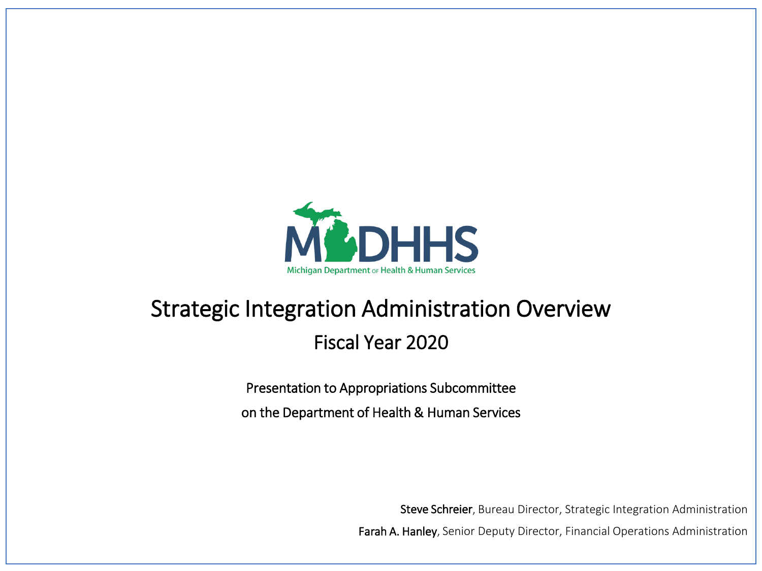

## Strategic Integration Administration Overview Fiscal Year 2020

Presentation to Appropriations Subcommittee on the Department of Health & Human Services

Steve Schreier, Bureau Director, Strategic Integration Administration

Farah A. Hanley, Senior Deputy Director, Financial Operations Administration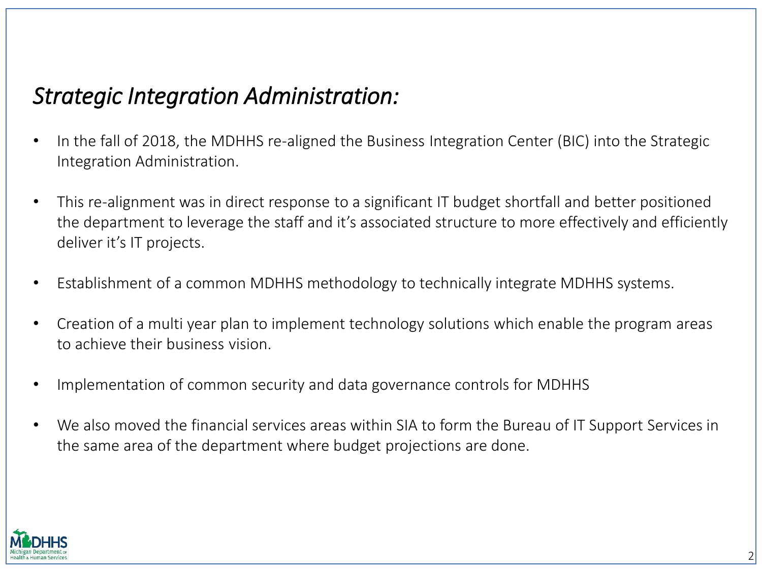#### *Strategic Integration Administration:*

- In the fall of 2018, the MDHHS re-aligned the Business Integration Center (BIC) into the Strategic Integration Administration.
- This re-alignment was in direct response to a significant IT budget shortfall and better positioned the department to leverage the staff and it's associated structure to more effectively and efficiently deliver it's IT projects.
- Establishment of a common MDHHS methodology to technically integrate MDHHS systems.
- Creation of a multi year plan to implement technology solutions which enable the program areas to achieve their business vision.
- Implementation of common security and data governance controls for MDHHS
- We also moved the financial services areas within SIA to form the Bureau of IT Support Services in the same area of the department where budget projections are done.

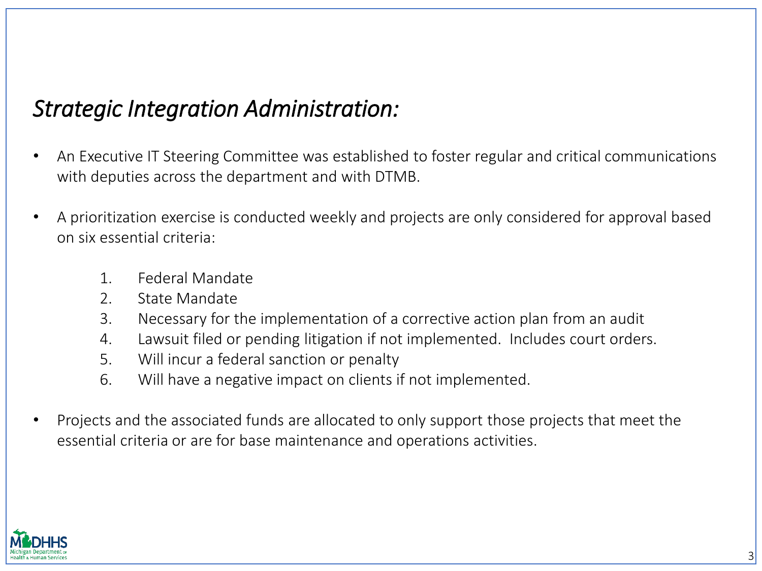#### *Strategic Integration Administration:*

- An Executive IT Steering Committee was established to foster regular and critical communications with deputies across the department and with DTMB.
- A prioritization exercise is conducted weekly and projects are only considered for approval based on six essential criteria:
	- 1. Federal Mandate
	- 2. State Mandate
	- 3. Necessary for the implementation of a corrective action plan from an audit
	- 4. Lawsuit filed or pending litigation if not implemented. Includes court orders.
	- 5. Will incur a federal sanction or penalty
	- 6. Will have a negative impact on clients if not implemented.
- Projects and the associated funds are allocated to only support those projects that meet the essential criteria or are for base maintenance and operations activities.

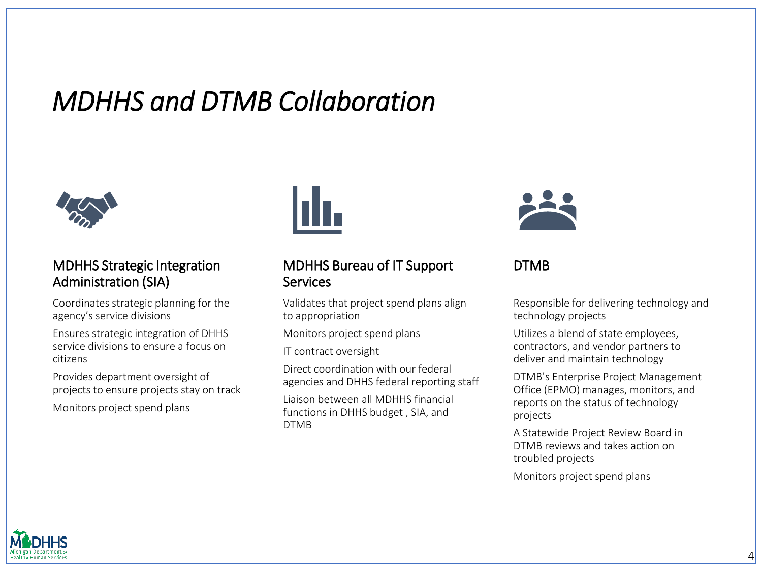# *MDHHS and DTMB Collaboration*



#### MDHHS Strategic Integration Administration (SIA)

Coordinates strategic planning for the agency's service divisions

Ensures strategic integration of DHHS service divisions to ensure a focus on citizens

Provides department oversight of projects to ensure projects stay on track

Monitors project spend plans



#### MDHHS Bureau of IT Support **Services**

Validates that project spend plans align to appropriation

Monitors project spend plans

IT contract oversight

Direct coordination with our federal agencies and DHHS federal reporting staff

Liaison between all MDHHS financial functions in DHHS budget , SIA, and DTMB



DTMB

Responsible for delivering technology and technology projects

Utilizes a blend of state employees, contractors, and vendor partners to deliver and maintain technology

DTMB's Enterprise Project Management Office (EPMO) manages, monitors, and reports on the status of technology projects

A Statewide Project Review Board in DTMB reviews and takes action on troubled projects

Monitors project spend plans

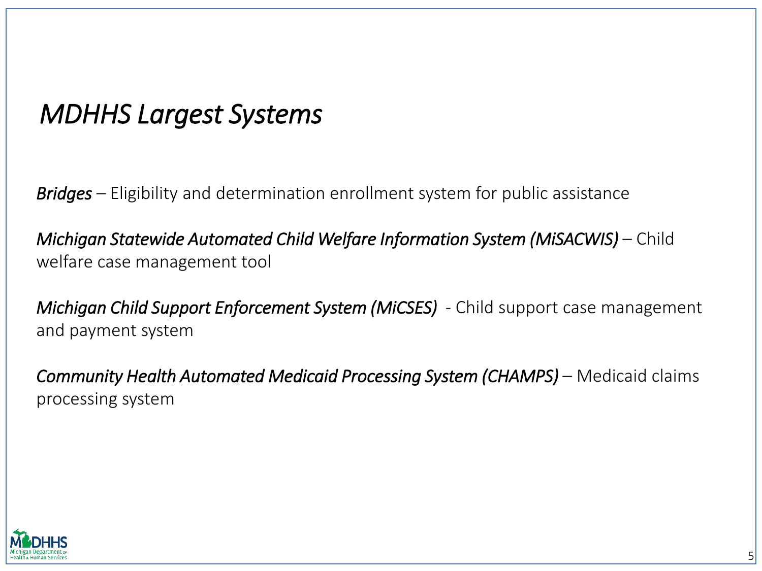# *MDHHS Largest Systems*

*Bridges* – Eligibility and determination enrollment system for public assistance

*Michigan Statewide Automated Child Welfare Information System (MiSACWIS) – Child* welfare case management tool

*Michigan Child Support Enforcement System (MiCSES)* - Child support case management and payment system

*Community Health Automated Medicaid Processing System (CHAMPS) – Medicaid claims* processing system

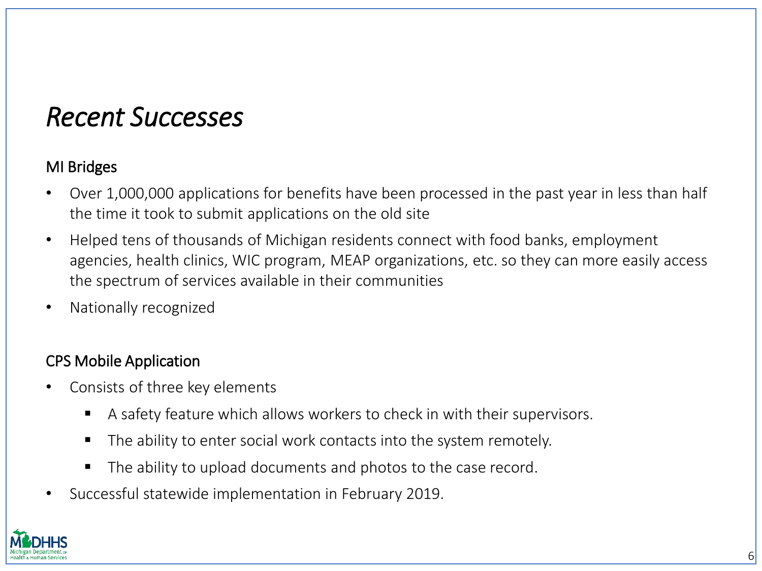### *Recent Successes*

#### MI Bridges

- Over 1,000,000 applications for benefits have been processed in the past year in less than half the time it took to submit applications on the old site
- Helped tens of thousands of Michigan residents connect with food banks, employment agencies, health clinics, WIC program, MEAP organizations, etc. so they can more easily access the spectrum of services available in their communities
- Nationally recognized

#### CPS Mobile Application

- Consists of three key elements
	- A safety feature which allows workers to check in with their supervisors.
	- The ability to enter social work contacts into the system remotely.
	- The ability to upload documents and photos to the case record.
- Successful statewide implementation in February 2019.

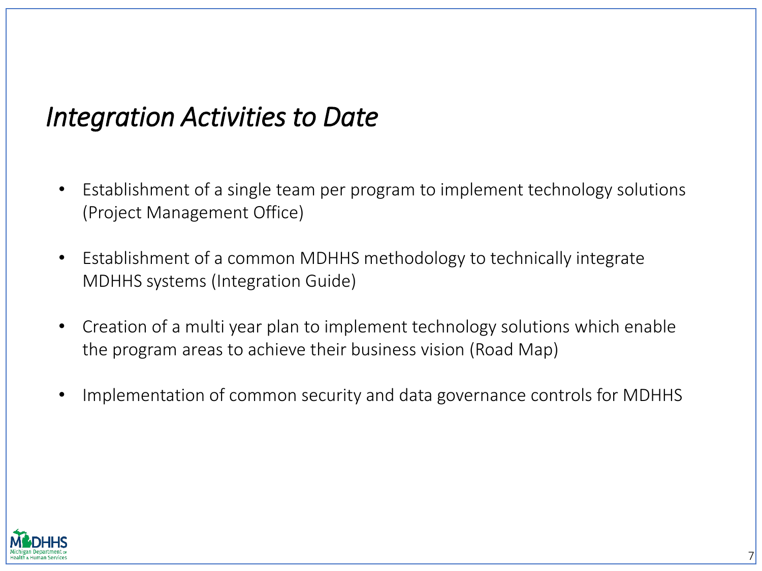# *Integration Activities to Date*

- Establishment of a single team per program to implement technology solutions (Project Management Office)
- Establishment of a common MDHHS methodology to technically integrate MDHHS systems (Integration Guide)
- Creation of a multi year plan to implement technology solutions which enable the program areas to achieve their business vision (Road Map)
- Implementation of common security and data governance controls for MDHHS

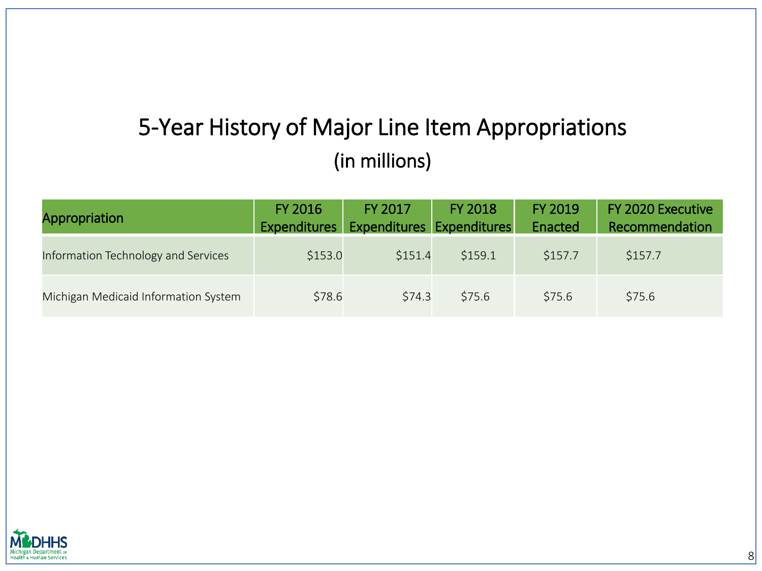#### 5-Year History of Major Line Item Appropriations (in millions)

| <b>Appropriation</b>                 | FY 2016<br><b>Expenditures</b> | FY 2017<br><b>Expenditures Expenditures</b> | <b>FY 2018</b> | <b>FY 2019</b><br>Enacted | FY 2020 Executive<br>Recommendation |
|--------------------------------------|--------------------------------|---------------------------------------------|----------------|---------------------------|-------------------------------------|
| Information Technology and Services  | \$153.0                        | \$151.4                                     | \$159.1        | \$157.7                   | \$157.7                             |
| Michigan Medicaid Information System | \$78.6                         | \$74.3                                      | \$75.6         | \$75.6                    | \$75.6                              |